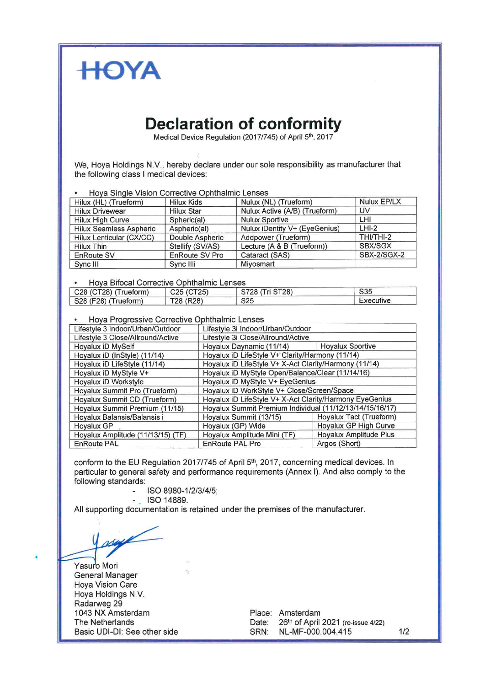

## **Declaration of conformity**

Medical Device Regulation (2017/745) of April 5th, 2017

We, Hoya Holdings N.V., hereby declare under our sole responsibility as manufacturer that the following class I medical devices:

Hova Single Vision Corrective Ophthalmic Lenses

| Hilux (HL) (Trueform)    | <b>Hilux Kids</b>     | Nulux (NL) (Trueform)         | Nulux EP/LX        |
|--------------------------|-----------------------|-------------------------------|--------------------|
| <b>Hilux Drivewear</b>   | <b>Hilux Star</b>     | Nulux Active (A/B) (Trueform) | UV                 |
| <b>Hilux High Curve</b>  | Spheric(al)           | <b>Nulux Sportive</b>         | LHI                |
| Hilux Seamless Aspheric  | Aspheric(al)          | Nulux iDentity V+ (EyeGenius) | $LHI-2$            |
| Hilux Lenticular (CX/CC) | Double Aspheric       | Addpower (Trueform)           | THI/THI-2          |
| Hilux Thin               | Stellify (SV/AS)      | Lecture (A & B (Trueform))    | <b>SBX/SGX</b>     |
| EnRoute SV               | <b>EnRoute SV Pro</b> | Cataract (SAS)                | <b>SBX-2/SGX-2</b> |
| Sync III                 | Sync IIIi             | Miyosmart                     |                    |

Hova Bifocal Corrective Ophthalmic Lenses

| $1.1010$ photon controlled controlled concern |                                    |                 |           |  |
|-----------------------------------------------|------------------------------------|-----------------|-----------|--|
| C28 (CT28) (Trueform)                         | $C25$ (CT25)                       | S728 (Tri ST28) | S35       |  |
| S28 (F28) (Trueform)                          | T <sub>28</sub> (R <sub>28</sub> ) | S <sub>25</sub> | Executive |  |

Hova Progressive Corrective Ophthalmic Lenses ä

| Lifestyle 3 Indoor/Urban/Outdoor  | Lifestyle 3i Indoor/Urban/Outdoor                        |                         |  |
|-----------------------------------|----------------------------------------------------------|-------------------------|--|
| Lifestyle 3 Close/Allround/Active | Lifestyle 3i Close/Allround/Active                       |                         |  |
| Hoyalux iD MySelf                 | <b>Hoyalux Sportive</b><br>Hoyalux Daynamic (11/14)      |                         |  |
| Hoyalux iD (InStyle) (11/14)      | Hoyalux iD LifeStyle V+ Clarity/Harmony (11/14)          |                         |  |
| Hoyalux iD LifeStyle (11/14)      | Hoyalux iD LifeStyle V+ X-Act Clarity/Harmony (11/14)    |                         |  |
| Hoyalux iD MyStyle V+             | Hoyalux iD MyStyle Open/Balance/Clear (11/14/16)         |                         |  |
| Hoyalux iD Workstyle              | Hoyalux iD MyStyle V+ EyeGenius                          |                         |  |
| Hoyalux Summit Pro (Trueform)     | Hoyalux iD WorkStyle V+ Close/Screen/Space               |                         |  |
| Hoyalux Summit CD (Trueform)      | Hoyalux iD LifeStyle V+ X-Act Clarity/Harmony EyeGenius  |                         |  |
| Hoyalux Summit Premium (11/15)    | Hoyalux Summit Premium Individual (11/12/13/14/15/16/17) |                         |  |
| Hoyalux Balansis/Balansis i       | Hoyalux Summit (13/15)                                   | Hoyalux Tact (Trueform) |  |
| Hoyalux GP                        | Hoyalux (GP) Wide                                        | Hoyalux GP High Curve   |  |
| Hoyalux Amplitude (11/13/15) (TF) | Hoyalux Amplitude Mini (TF)                              | Hoyalux Amplitude Plus  |  |
| EnRoute PAL                       | <b>EnRoute PAL Pro</b>                                   | Argos (Short)           |  |

conform to the EU Regulation 2017/745 of April 5th, 2017, concerning medical devices. In particular to general safety and performance requirements (Annex I). And also comply to the following standards:

ISO 8980-1/2/3/4/5;

 $-$ . ISO 14889.

All supporting documentation is retained under the premises of the manufacturer.

Yasuro Mori **General Manager Hova Vision Care** Hoya Holdings N.V. Radarweg 29 1043 NX Amsterdam The Netherlands Basic UDI-DI: See other side

Place: Amsterdam Date: 26th of April 2021 (re-issue 4/22) NL-MF-000.004.415 SRN:

 $1/2$